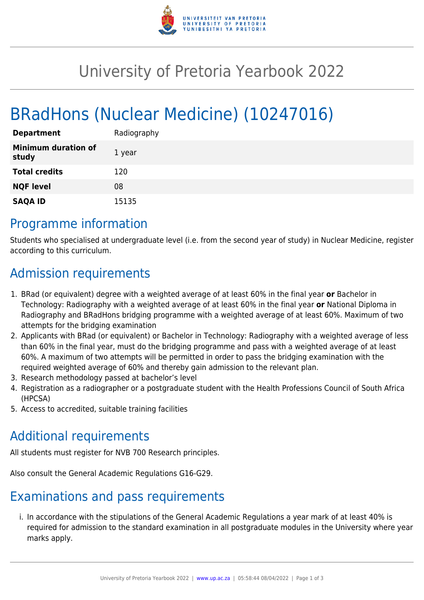

## University of Pretoria Yearbook 2022

# BRadHons (Nuclear Medicine) (10247016)

| <b>Department</b>                   | Radiography |
|-------------------------------------|-------------|
| <b>Minimum duration of</b><br>study | 1 year      |
| <b>Total credits</b>                | 120         |
| <b>NQF level</b>                    | 08          |
| <b>SAQA ID</b>                      | 15135       |

#### Programme information

Students who specialised at undergraduate level (i.e. from the second year of study) in Nuclear Medicine, register according to this curriculum.

### Admission requirements

- 1. BRad (or equivalent) degree with a weighted average of at least 60% in the final year **or** Bachelor in Technology: Radiography with a weighted average of at least 60% in the final year **or** National Diploma in Radiography and BRadHons bridging programme with a weighted average of at least 60%. Maximum of two attempts for the bridging examination
- 2. Applicants with BRad (or equivalent) or Bachelor in Technology: Radiography with a weighted average of less than 60% in the final year, must do the bridging programme and pass with a weighted average of at least 60%. A maximum of two attempts will be permitted in order to pass the bridging examination with the required weighted average of 60% and thereby gain admission to the relevant plan.
- 3. Research methodology passed at bachelor's level
- 4. Registration as a radiographer or a postgraduate student with the Health Professions Council of South Africa (HPCSA)
- 5. Access to accredited, suitable training facilities

#### Additional requirements

All students must register for NVB 700 Research principles.

Also consult the General Academic Regulations G16-G29.

### Examinations and pass requirements

i. In accordance with the stipulations of the General Academic Regulations a year mark of at least 40% is required for admission to the standard examination in all postgraduate modules in the University where year marks apply.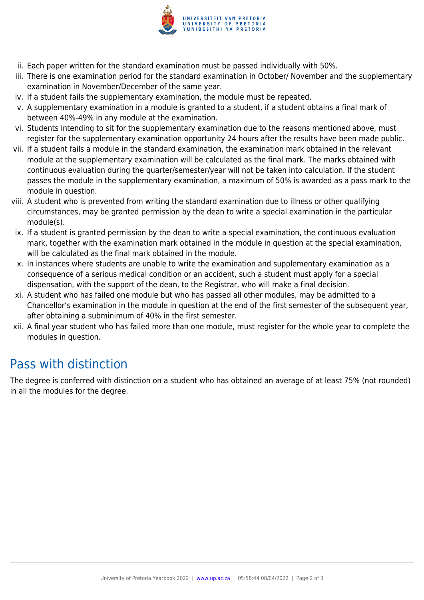

- ii. Each paper written for the standard examination must be passed individually with 50%.
- iii. There is one examination period for the standard examination in October/ November and the supplementary examination in November/December of the same year.
- iv. If a student fails the supplementary examination, the module must be repeated.
- v. A supplementary examination in a module is granted to a student, if a student obtains a final mark of between 40%-49% in any module at the examination.
- vi. Students intending to sit for the supplementary examination due to the reasons mentioned above, must register for the supplementary examination opportunity 24 hours after the results have been made public.
- vii. If a student fails a module in the standard examination, the examination mark obtained in the relevant module at the supplementary examination will be calculated as the final mark. The marks obtained with continuous evaluation during the quarter/semester/year will not be taken into calculation. If the student passes the module in the supplementary examination, a maximum of 50% is awarded as a pass mark to the module in question.
- viii. A student who is prevented from writing the standard examination due to illness or other qualifying circumstances, may be granted permission by the dean to write a special examination in the particular module(s).
- ix. If a student is granted permission by the dean to write a special examination, the continuous evaluation mark, together with the examination mark obtained in the module in question at the special examination, will be calculated as the final mark obtained in the module.
- x. In instances where students are unable to write the examination and supplementary examination as a consequence of a serious medical condition or an accident, such a student must apply for a special dispensation, with the support of the dean, to the Registrar, who will make a final decision.
- xi. A student who has failed one module but who has passed all other modules, may be admitted to a Chancellor's examination in the module in question at the end of the first semester of the subsequent year, after obtaining a subminimum of 40% in the first semester.
- xii. A final year student who has failed more than one module, must register for the whole year to complete the modules in question.

## Pass with distinction

The degree is conferred with distinction on a student who has obtained an average of at least 75% (not rounded) in all the modules for the degree.